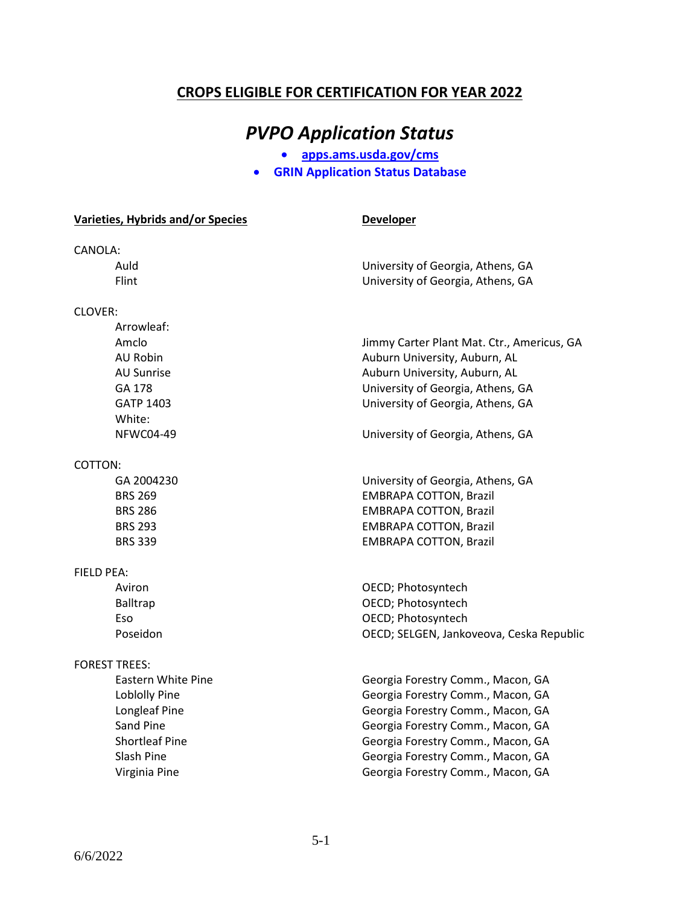### **CROPS ELIGIBLE FOR CERTIFICATION FOR YEAR 2022**

## *PVPO Application Status*

• **apps.ams.usda.gov/cms**

• **GRIN Application Status Database**

|            | Varieties, Hybrids and/or Species | <b>Developer</b>                           |
|------------|-----------------------------------|--------------------------------------------|
| CANOLA:    |                                   |                                            |
|            | Auld                              | University of Georgia, Athens, GA          |
|            | Flint                             | University of Georgia, Athens, GA          |
| Clover:    |                                   |                                            |
|            | Arrowleaf:                        |                                            |
|            | Amclo                             | Jimmy Carter Plant Mat. Ctr., Americus, GA |
|            | AU Robin                          | Auburn University, Auburn, AL              |
|            | <b>AU Sunrise</b>                 | Auburn University, Auburn, AL              |
|            | GA 178                            | University of Georgia, Athens, GA          |
|            | <b>GATP 1403</b>                  | University of Georgia, Athens, GA          |
|            | White:                            |                                            |
|            | <b>NFWC04-49</b>                  | University of Georgia, Athens, GA          |
| COTTON:    |                                   |                                            |
|            | GA 2004230                        | University of Georgia, Athens, GA          |
|            | <b>BRS 269</b>                    | <b>EMBRAPA COTTON, Brazil</b>              |
|            | <b>BRS 286</b>                    | <b>EMBRAPA COTTON, Brazil</b>              |
|            | <b>BRS 293</b>                    | <b>EMBRAPA COTTON, Brazil</b>              |
|            | <b>BRS 339</b>                    | <b>EMBRAPA COTTON, Brazil</b>              |
| FIELD PEA: |                                   |                                            |
|            | Aviron                            | OECD; Photosyntech                         |
|            | <b>Balltrap</b>                   | OECD; Photosyntech                         |
|            | Eso                               | OECD; Photosyntech                         |
|            | Poseidon                          | OECD; SELGEN, Jankoveova, Ceska Republic   |
|            | <b>FOREST TREES:</b>              |                                            |
|            | Eastern White Pine                | Georgia Forestry Comm., Macon, GA          |
|            | Loblolly Pine                     | Georgia Forestry Comm., Macon, GA          |
|            | Longleaf Pine                     | Georgia Forestry Comm., Macon, GA          |
|            | Sand Pine                         | Georgia Forestry Comm., Macon, GA          |
|            | <b>Shortleaf Pine</b>             | Georgia Forestry Comm., Macon, GA          |
|            | Slash Pine                        | Georgia Forestry Comm., Macon, GA          |
|            | Virginia Pine                     | Georgia Forestry Comm., Macon, GA          |
|            |                                   |                                            |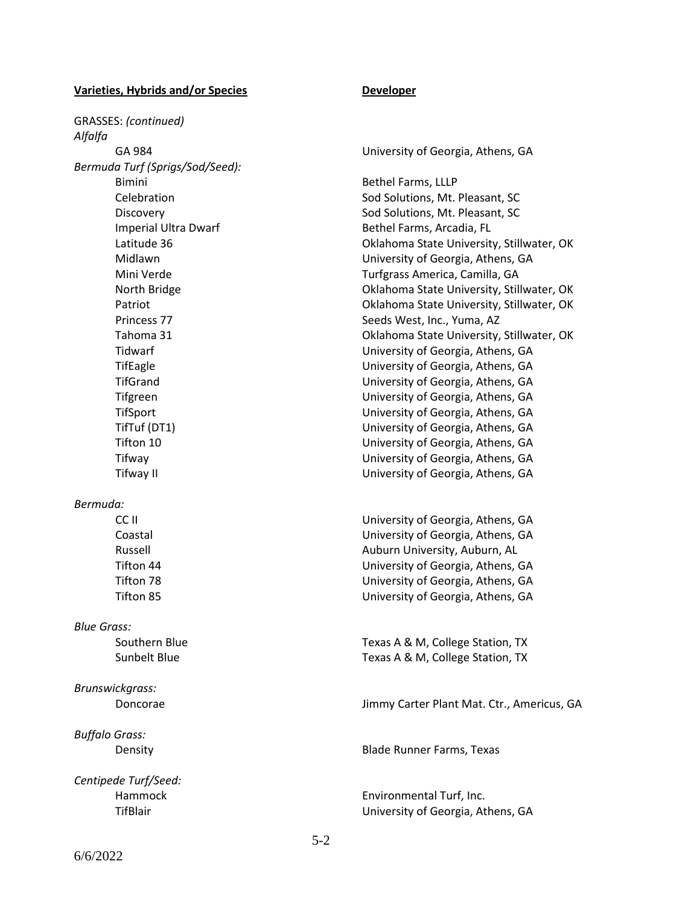GRASSES: *(continued) Alfalfa Bermuda Turf (Sprigs/Sod/Seed):* Bimini Bethel Farms, LLLP Celebration **Solutions**, Mt. Pleasant, SC Discovery **Solutions**, Mt. Pleasant, SC Imperial Ultra Dwarf **Bethel Farms**, Arcadia, FL Mini Verde Turfgrass America, Camilla, GA Princess 77 Seeds West, Inc., Yuma, AZ *Bermuda:* CC II University of Georgia, Athens, GA Russell **Auburn University, Auburn, AL** *Blue Grass:* Southern Blue Texas A & M, College Station, TX *Brunswickgrass:*

*Buffalo Grass:*

*Centipede Turf/Seed:*

GA 984 University of Georgia, Athens, GA

Latitude 36 Oklahoma State University, Stillwater, OK Midlawn University of Georgia, Athens, GA North Bridge **Calculation** Bridge **Oklahoma State University, Stillwater, OK** Patriot Oklahoma State University, Stillwater, OK Tahoma 31 Oklahoma State University, Stillwater, OK Tidwarf University of Georgia, Athens, GA TifEagle University of Georgia, Athens, GA TifGrand University of Georgia, Athens, GA Tifgreen University of Georgia, Athens, GA TifSport University of Georgia, Athens, GA TifTuf (DT1) University of Georgia, Athens, GA Tifton 10 University of Georgia, Athens, GA Tifway University of Georgia, Athens, GA Tifway II University of Georgia, Athens, GA

Coastal University of Georgia, Athens, GA Tifton 44 University of Georgia, Athens, GA Tifton 78 University of Georgia, Athens, GA Tifton 85 University of Georgia, Athens, GA

Sunbelt Blue Texas A & M, College Station, TX

Doncorae Jimmy Carter Plant Mat. Ctr., Americus, GA

Density Blade Runner Farms, Texas

Hammock Environmental Turf, Inc. TifBlair University of Georgia, Athens, GA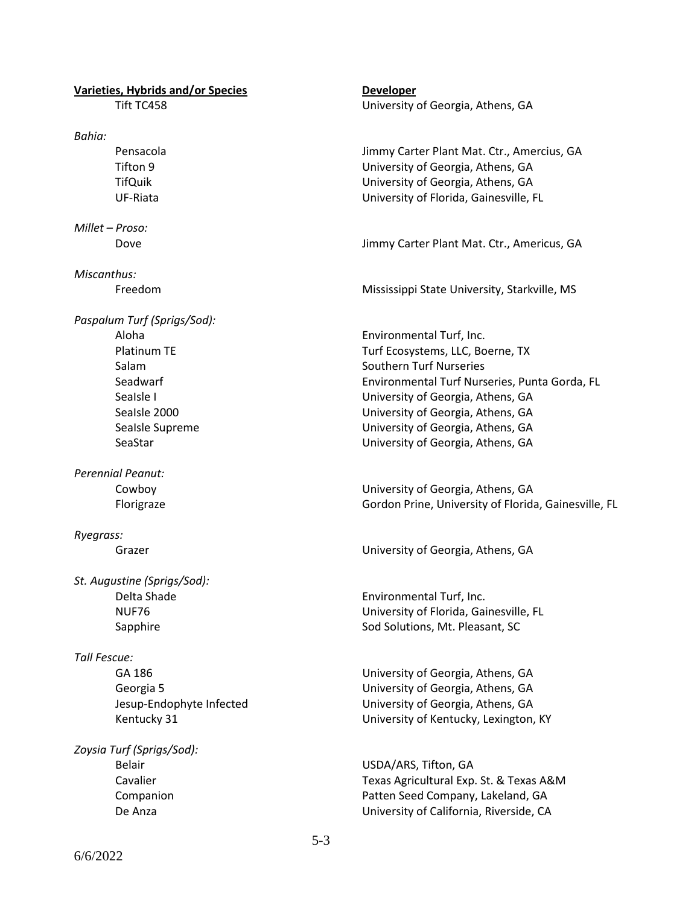*Bahia:*

*Millet – Proso:*

*Miscanthus:*

*Paspalum Turf (Sprigs/Sod):*

*Perennial Peanut:*

*Ryegrass:*

*St. Augustine (Sprigs/Sod):*

#### *Tall Fescue:*

*Zoysia Turf (Sprigs/Sod):*

Tift TC458 University of Georgia, Athens, GA

Pensacola Jimmy Carter Plant Mat. Ctr., Amercius, GA Tifton 9 University of Georgia, Athens, GA TifQuik University of Georgia, Athens, GA UF-Riata University of Florida, Gainesville, FL

Dove Jimmy Carter Plant Mat. Ctr., Americus, GA

Freedom Mississippi State University, Starkville, MS

Aloha Environmental Turf, Inc. Platinum TE Turf Ecosystems, LLC, Boerne, TX Salam Southern Turf Nurseries Seadwarf **Environmental Turf Nurseries, Punta Gorda, FL** Sealsle I University of Georgia, Athens, GA SeaIsle 2000 University of Georgia, Athens, GA SeaIsle Supreme **Example 20** University of Georgia, Athens, GA SeaStar University of Georgia, Athens, GA

Cowboy University of Georgia, Athens, GA Florigraze Gordon Prine, University of Florida, Gainesville, FL

Grazer **Grazer University of Georgia, Athens, GA** 

Delta Shade **Environmental Turf**, Inc. NUF76 University of Florida, Gainesville, FL Sapphire Sod Solutions, Mt. Pleasant, SC

GA 186 University of Georgia, Athens, GA Georgia 5 University of Georgia, Athens, GA Jesup-Endophyte Infected University of Georgia, Athens, GA Kentucky 31 University of Kentucky, Lexington, KY

Belair USDA/ARS, Tifton, GA Cavalier Texas Agricultural Exp. St. & Texas A&M Companion **Patten Seed Company, Lakeland, GA** De Anza University of California, Riverside, CA

6/6/2022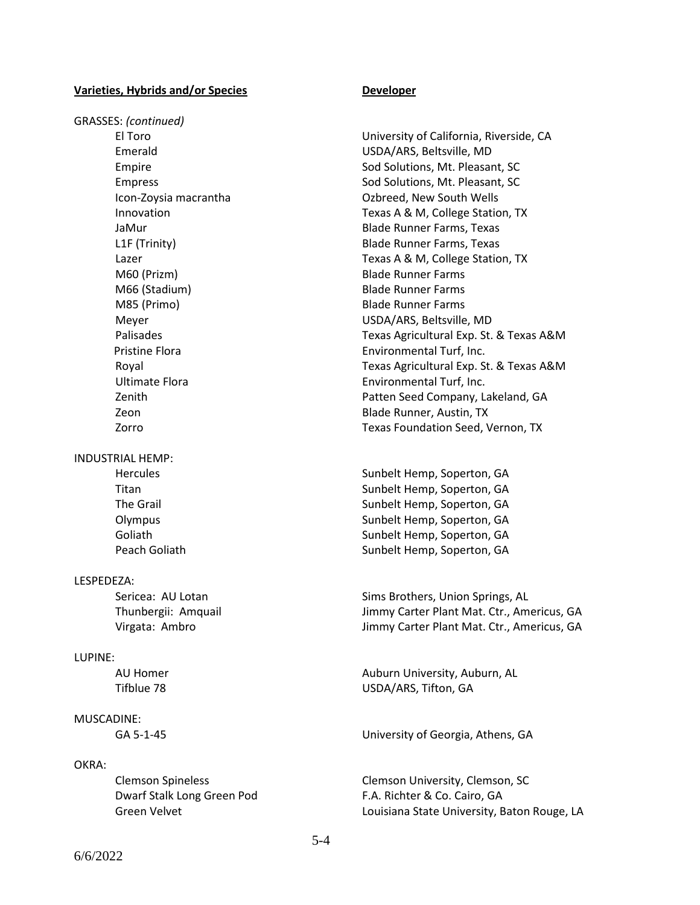GRASSES: *(continued)*

INDUSTRIAL HEMP:

#### LESPEDEZA:

#### LUPINE:

### MUSCADINE:

#### OKRA:

Dwarf Stalk Long Green Pod F.A. Richter & Co. Cairo, GA

El Toro University of California, Riverside, CA Emerald USDA/ARS, Beltsville, MD Empire **Solutions**, Mt. Pleasant, SC Empress Empress Sod Solutions, Mt. Pleasant, SC Icon-Zoysia macrantha Ozbreed, New South Wells Innovation Texas A & M, College Station, TX JaMur Blade Runner Farms, Texas L1F (Trinity) Blade Runner Farms, Texas Lazer **Texas A & M, College Station, TX** M60 (Prizm) Blade Runner Farms M66 (Stadium) Blade Runner Farms M85 (Primo) Blade Runner Farms Meyer USDA/ARS, Beltsville, MD Palisades Texas Agricultural Exp. St. & Texas A&M **Pristine Flora Environmental Turf, Inc.** Royal Texas Agricultural Exp. St. & Texas A&M Ultimate Flora **Environmental Turf**, Inc. Zenith Patten Seed Company, Lakeland, GA Zeon Blade Runner, Austin, TX Zorro Texas Foundation Seed, Vernon, TX

Hercules Sunbelt Hemp, Soperton, GA Titan Sunbelt Hemp, Soperton, GA The Grail Sunbelt Hemp, Soperton, GA Olympus Computer Sunbelt Hemp, Soperton, GA Goliath Sunbelt Hemp, Soperton, GA Peach Goliath Sunbelt Hemp, Soperton, GA

Sericea: AU Lotan Sims Brothers, Union Springs, AL Thunbergii: Amquail Jimmy Carter Plant Mat. Ctr., Americus, GA Virgata: Ambro Jimmy Carter Plant Mat. Ctr., Americus, GA

AU Homer **Auburn University, Auburn, AL** Tifblue 78 USDA/ARS, Tifton, GA

GA 5-1-45 University of Georgia, Athens, GA

Clemson Spineless Clemson University, Clemson, SC Green Velvet **Louisiana State University, Baton Rouge, LA**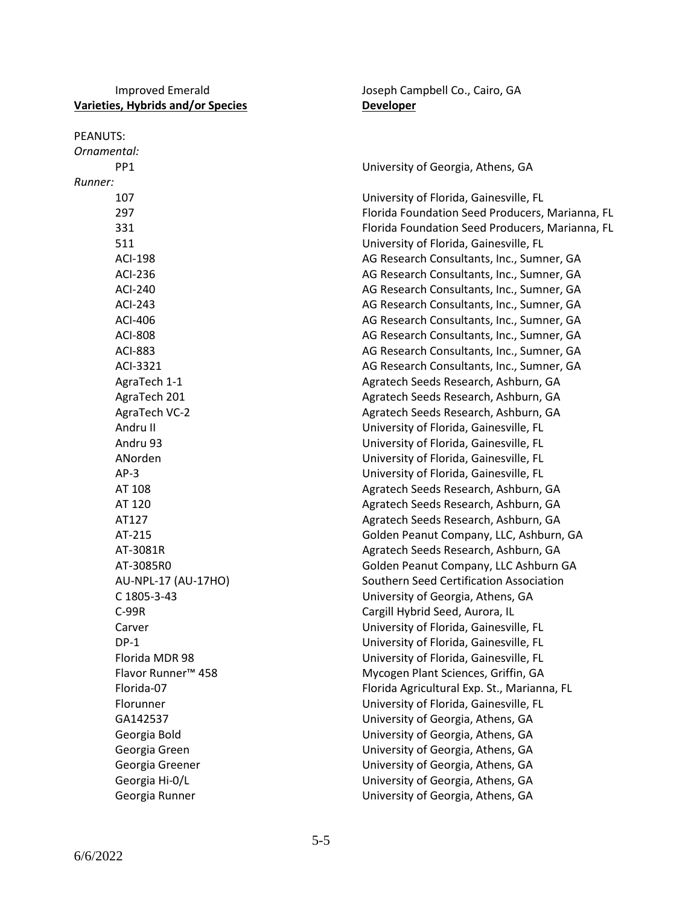### Improved Emerald **Improved Emerald** Joseph Campbell Co., Cairo, GA **Varieties, Hybrids and/or Species Developer**

| PEANUTS:                       |                                                 |
|--------------------------------|-------------------------------------------------|
| Ornamental:                    |                                                 |
| PP <sub>1</sub>                | University of Georgia, Athens, GA               |
| Runner:                        |                                                 |
| 107                            | University of Florida, Gainesville, FL          |
| 297                            | Florida Foundation Seed Producers, Marianna, FL |
| 331                            | Florida Foundation Seed Producers, Marianna, FL |
| 511                            | University of Florida, Gainesville, FL          |
| <b>ACI-198</b>                 | AG Research Consultants, Inc., Sumner, GA       |
| ACI-236                        | AG Research Consultants, Inc., Sumner, GA       |
| <b>ACI-240</b>                 | AG Research Consultants, Inc., Sumner, GA       |
| <b>ACI-243</b>                 | AG Research Consultants, Inc., Sumner, GA       |
| ACI-406                        | AG Research Consultants, Inc., Sumner, GA       |
| <b>ACI-808</b>                 | AG Research Consultants, Inc., Sumner, GA       |
| <b>ACI-883</b>                 | AG Research Consultants, Inc., Sumner, GA       |
| ACI-3321                       | AG Research Consultants, Inc., Sumner, GA       |
| AgraTech 1-1                   | Agratech Seeds Research, Ashburn, GA            |
| AgraTech 201                   | Agratech Seeds Research, Ashburn, GA            |
| AgraTech VC-2                  | Agratech Seeds Research, Ashburn, GA            |
| Andru II                       | University of Florida, Gainesville, FL          |
| Andru 93                       | University of Florida, Gainesville, FL          |
| ANorden                        | University of Florida, Gainesville, FL          |
| $AP-3$                         | University of Florida, Gainesville, FL          |
| AT 108                         | Agratech Seeds Research, Ashburn, GA            |
| AT 120                         | Agratech Seeds Research, Ashburn, GA            |
| AT127                          | Agratech Seeds Research, Ashburn, GA            |
| AT-215                         | Golden Peanut Company, LLC, Ashburn, GA         |
| AT-3081R                       | Agratech Seeds Research, Ashburn, GA            |
| AT-3085R0                      | Golden Peanut Company, LLC Ashburn GA           |
| AU-NPL-17 (AU-17HO)            | Southern Seed Certification Association         |
| C 1805-3-43                    | University of Georgia, Athens, GA               |
| $C-99R$                        | Cargill Hybrid Seed, Aurora, IL                 |
| Carver                         | University of Florida, Gainesville, FL          |
| $DP-1$                         | University of Florida, Gainesville, FL          |
| Florida MDR 98                 | University of Florida, Gainesville, FL          |
| Flavor Runner <sup>™</sup> 458 | Mycogen Plant Sciences, Griffin, GA             |
| Florida-07                     | Florida Agricultural Exp. St., Marianna, FL     |
| Florunner                      | University of Florida, Gainesville, FL          |
| GA142537                       | University of Georgia, Athens, GA               |
| Georgia Bold                   | University of Georgia, Athens, GA               |
| Georgia Green                  | University of Georgia, Athens, GA               |
| Georgia Greener                | University of Georgia, Athens, GA               |
| Georgia Hi-0/L                 | University of Georgia, Athens, GA               |
| Georgia Runner                 | University of Georgia, Athens, GA               |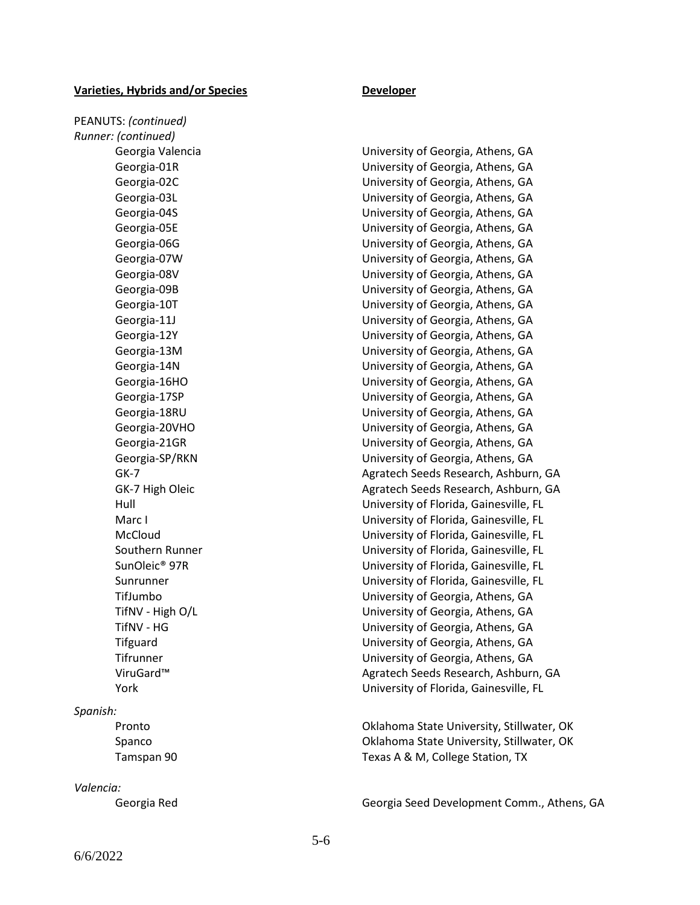PEANUTS: *(continued) Runner: (continued)*

#### *Spanish:*

#### *Valencia:*

Georgia Valencia University of Georgia, Athens, GA Georgia-01R University of Georgia, Athens, GA Georgia-02C University of Georgia, Athens, GA Georgia-03L University of Georgia, Athens, GA Georgia-04S University of Georgia, Athens, GA Georgia-05E University of Georgia, Athens, GA Georgia-06G University of Georgia, Athens, GA Georgia-07W University of Georgia, Athens, GA Georgia-08V University of Georgia, Athens, GA Georgia-09B University of Georgia, Athens, GA Georgia-10T University of Georgia, Athens, GA Georgia-11J Christian Controllery Music University of Georgia, Athens, GA Georgia-12Y University of Georgia, Athens, GA Georgia-13M University of Georgia, Athens, GA Georgia-14N University of Georgia, Athens, GA Georgia-16HO University of Georgia, Athens, GA Georgia-17SP University of Georgia, Athens, GA Georgia-18RU University of Georgia, Athens, GA Georgia-20VHO University of Georgia, Athens, GA Georgia-21GR University of Georgia, Athens, GA Georgia-SP/RKN University of Georgia, Athens, GA GK-7 Agratech Seeds Research, Ashburn, GA GK-7 High Oleic **Agratech Seeds Research, Ashburn, GA** Hull University of Florida, Gainesville, FL Marc I University of Florida, Gainesville, FL McCloud University of Florida, Gainesville, FL Southern Runner University of Florida, Gainesville, FL SunOleic® 97R University of Florida, Gainesville, FL Sunrunner University of Florida, Gainesville, FL TifJumbo University of Georgia, Athens, GA TifNV - High O/L University of Georgia, Athens, GA TifNV - HG University of Georgia, Athens, GA Tifguard University of Georgia, Athens, GA Tifrunner University of Georgia, Athens, GA ViruGard™ Agratech Seeds Research, Ashburn, GA York University of Florida, Gainesville, FL

Pronto Oklahoma State University, Stillwater, OK Spanco Oklahoma State University, Stillwater, OK Tamspan 90 Texas A & M, College Station, TX

Georgia Red Georgia Seed Development Comm., Athens, GA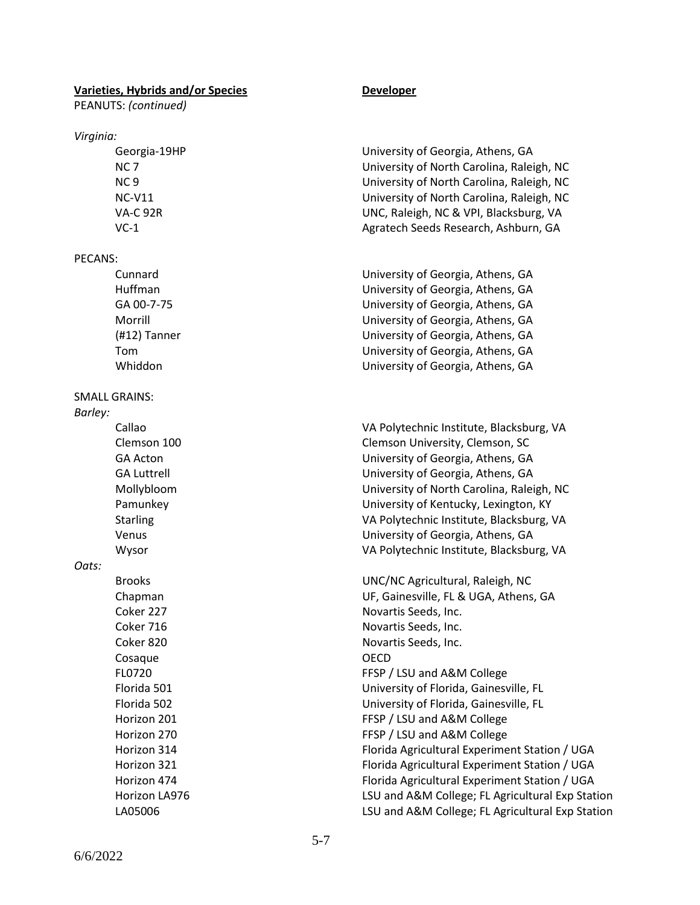PEANUTS: *(continued)*

#### *Virginia:*

#### PECANS:

### SMALL GRAINS:

*Barley:* 

*Oats:*

Cosaque **OECD** 

Georgia-19HP University of Georgia, Athens, GA NC 7 University of North Carolina, Raleigh, NC NC 9 University of North Carolina, Raleigh, NC NC-V11 University of North Carolina, Raleigh, NC VA-C 92R UNC, Raleigh, NC & VPI, Blacksburg, VA VC-1 Agratech Seeds Research, Ashburn, GA

Cunnard University of Georgia, Athens, GA Huffman University of Georgia, Athens, GA GA 00-7-75 University of Georgia, Athens, GA Morrill University of Georgia, Athens, GA (#12) Tanner University of Georgia, Athens, GA Tom University of Georgia, Athens, GA Whiddon University of Georgia, Athens, GA

Callao VA Polytechnic Institute, Blacksburg, VA Clemson 100 Clemson University, Clemson, SC GA Acton University of Georgia, Athens, GA GA Luttrell University of Georgia, Athens, GA Mollybloom University of North Carolina, Raleigh, NC Pamunkey University of Kentucky, Lexington, KY Starling VA Polytechnic Institute, Blacksburg, VA Venus University of Georgia, Athens, GA Wysor VA Polytechnic Institute, Blacksburg, VA

Brooks UNC/NC Agricultural, Raleigh, NC Chapman UF, Gainesville, FL & UGA, Athens, GA Coker 227 Novartis Seeds, Inc. Coker 716 **Novartis Seeds, Inc.** Novartis Seeds, Inc. Coker 820 **Novartis Seeds, Inc.** FL0720 FL0720 FESP / LSU and A&M College Florida 501 University of Florida, Gainesville, FL Florida 502 University of Florida, Gainesville, FL Horizon 201 **FFSP** / LSU and A&M College Horizon 270 **FFSP** / LSU and A&M College Horizon 314 Florida Agricultural Experiment Station / UGA Horizon 321 Florida Agricultural Experiment Station / UGA Horizon 474 Florida Agricultural Experiment Station / UGA Horizon LA976 LSU and A&M College; FL Agricultural Exp Station LA05006 LSU and A&M College; FL Agricultural Exp Station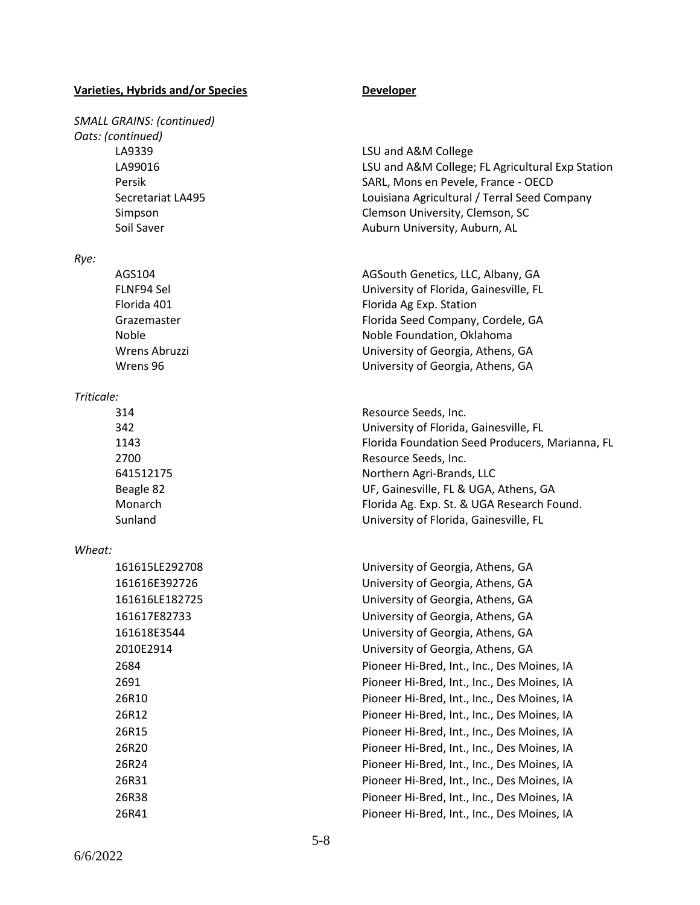# *SMALL GRAINS: (continued) Oats: (continued)* LA9339 LSU and A&M College

#### *Rye:*

#### *Triticale:*

#### *Wheat:*

| 161615LE29270 |
|---------------|
| 161616E392726 |
| 161616LE18272 |
| 161617F82733  |
| 161618E3544   |
| 2010E2914     |
| 2684          |
| 2691          |
| 26R10         |
| 26R12         |
| 26R15         |
| 26R20         |
| 26R24         |
| 26R31         |
| 26R38         |
| 26R41         |

LA99016 LSU and A&M College; FL Agricultural Exp Station Persik SARL, Mons en Pevele, France - OECD Secretariat LA495 Louisiana Agricultural / Terral Seed Company Simpson Clemson University, Clemson, SC Soil Saver **Auburn University, Auburn, AL** 

AGS104 AGSouth Genetics, LLC, Albany, GA FLNF94 Sel University of Florida, Gainesville, FL Florida 401 **Florida** 401 Grazemaster **Florida Seed Company, Cordele, GA** Noble Noble Foundation, Oklahoma Wrens Abruzzi University of Georgia, Athens, GA Wrens 96 University of Georgia, Athens, GA

 Resource Seeds, Inc. University of Florida, Gainesville, FL Florida Foundation Seed Producers, Marianna, FL Resource Seeds, Inc. Northern Agri-Brands, LLC Beagle 82 **UF, Gainesville, FL & UGA, Athens, GA** Monarch Florida Ag. Exp. St. & UGA Research Found. Sunland University of Florida, Gainesville, FL

> 161615LE292708 University of Georgia, Athens, GA 161616E392726 University of Georgia, Athens, GA 15 University of Georgia, Athens, GA University of Georgia, Athens, GA University of Georgia, Athens, GA University of Georgia, Athens, GA Pioneer Hi-Bred, Int., Inc., Des Moines, IA Pioneer Hi-Bred, Int., Inc., Des Moines, IA Pioneer Hi-Bred, Int., Inc., Des Moines, IA Pioneer Hi-Bred, Int., Inc., Des Moines, IA Pioneer Hi-Bred, Int., Inc., Des Moines, IA Pioneer Hi-Bred, Int., Inc., Des Moines, IA Pioneer Hi-Bred, Int., Inc., Des Moines, IA Pioneer Hi-Bred, Int., Inc., Des Moines, IA Pioneer Hi-Bred, Int., Inc., Des Moines, IA Pioneer Hi-Bred, Int., Inc., Des Moines, IA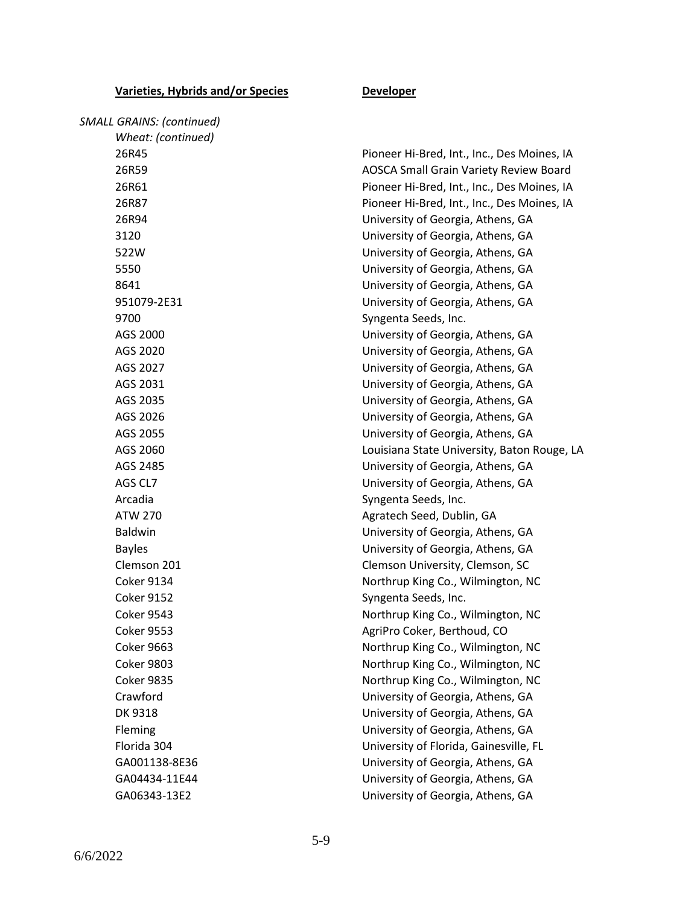| <b>SMALL GRAINS: (continued)</b> |                                               |
|----------------------------------|-----------------------------------------------|
| Wheat: (continued)               |                                               |
| 26R45                            | Pioneer Hi-Bred, Int., Inc., Des Moines, IA   |
| 26R59                            | <b>AOSCA Small Grain Variety Review Board</b> |
| 26R61                            | Pioneer Hi-Bred, Int., Inc., Des Moines, IA   |
| 26R87                            | Pioneer Hi-Bred, Int., Inc., Des Moines, IA   |
| 26R94                            | University of Georgia, Athens, GA             |
| 3120                             | University of Georgia, Athens, GA             |
| 522W                             | University of Georgia, Athens, GA             |
| 5550                             | University of Georgia, Athens, GA             |
| 8641                             | University of Georgia, Athens, GA             |
| 951079-2E31                      | University of Georgia, Athens, GA             |
| 9700                             | Syngenta Seeds, Inc.                          |
| AGS 2000                         | University of Georgia, Athens, GA             |
| AGS 2020                         | University of Georgia, Athens, GA             |
| AGS 2027                         | University of Georgia, Athens, GA             |
| AGS 2031                         | University of Georgia, Athens, GA             |
| AGS 2035                         | University of Georgia, Athens, GA             |
| AGS 2026                         | University of Georgia, Athens, GA             |
| AGS 2055                         | University of Georgia, Athens, GA             |
| AGS 2060                         | Louisiana State University, Baton Rouge, LA   |
| AGS 2485                         | University of Georgia, Athens, GA             |
| AGS CL7                          | University of Georgia, Athens, GA             |
| Arcadia                          | Syngenta Seeds, Inc.                          |
| <b>ATW 270</b>                   | Agratech Seed, Dublin, GA                     |
| <b>Baldwin</b>                   | University of Georgia, Athens, GA             |
| <b>Bayles</b>                    | University of Georgia, Athens, GA             |
| Clemson 201                      | Clemson University, Clemson, SC               |
| <b>Coker 9134</b>                | Northrup King Co., Wilmington, NC             |
| <b>Coker 9152</b>                | Syngenta Seeds, Inc.                          |
| <b>Coker 9543</b>                | Northrup King Co., Wilmington, NC             |
| <b>Coker 9553</b>                | AgriPro Coker, Berthoud, CO                   |
| <b>Coker 9663</b>                | Northrup King Co., Wilmington, NC             |
| <b>Coker 9803</b>                | Northrup King Co., Wilmington, NC             |
| <b>Coker 9835</b>                | Northrup King Co., Wilmington, NC             |
| Crawford                         | University of Georgia, Athens, GA             |
| DK 9318                          | University of Georgia, Athens, GA             |
| Fleming                          | University of Georgia, Athens, GA             |
| Florida 304                      | University of Florida, Gainesville, FL        |
| GA001138-8E36                    | University of Georgia, Athens, GA             |
| GA04434-11E44                    | University of Georgia, Athens, GA             |
| GA06343-13E2                     | University of Georgia, Athens, GA             |
|                                  |                                               |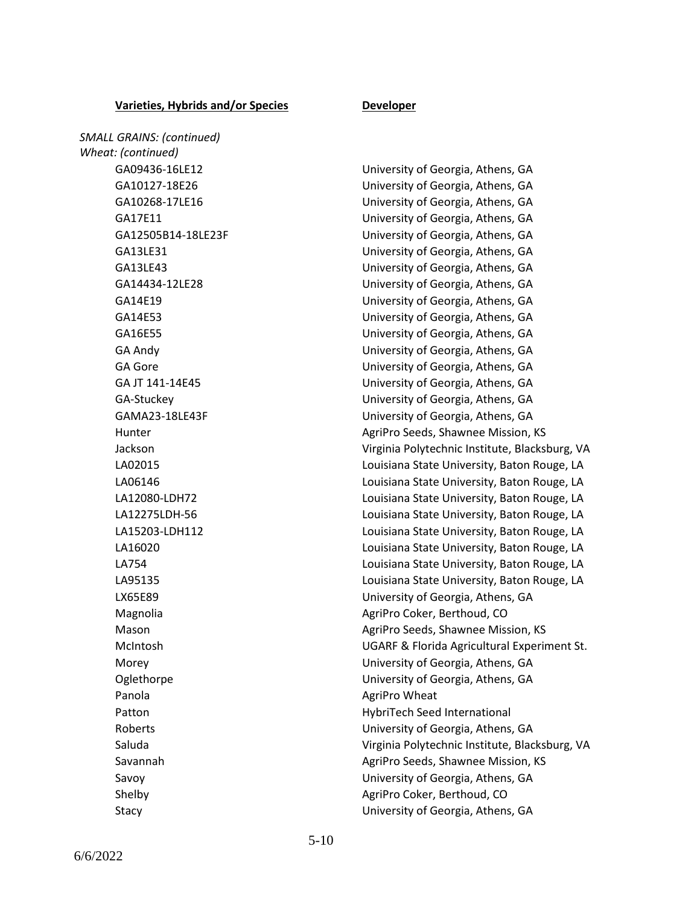*SMALL GRAINS: (continued) Wheat: (continued)* Panola **AgriPro Wheat AgriPro Wheat** 

GA09436-16LE12 University of Georgia, Athens, GA GA10127-18E26 University of Georgia, Athens, GA GA10268-17LE16 University of Georgia, Athens, GA GA17E11 University of Georgia, Athens, GA GA12505B14-18LE23F University of Georgia, Athens, GA GA13LE31 University of Georgia, Athens, GA GA13LE43 University of Georgia, Athens, GA GA14434-12LE28 University of Georgia, Athens, GA GA14E19 University of Georgia, Athens, GA GA14E53 University of Georgia, Athens, GA GA16E55 University of Georgia, Athens, GA GA Andy University of Georgia, Athens, GA GA Gore **GA Gore** University of Georgia, Athens, GA GA JT 141-14E45 University of Georgia, Athens, GA GA-Stuckey University of Georgia, Athens, GA GAMA23-18LE43F University of Georgia, Athens, GA Hunter **AgriPro Seeds, Shawnee Mission, KS** AgriPro Seeds, Shawnee Mission, KS Jackson Virginia Polytechnic Institute, Blacksburg, VA LA02015 Louisiana State University, Baton Rouge, LA LA06146 Louisiana State University, Baton Rouge, LA LA12080-LDH72 Louisiana State University, Baton Rouge, LA LA12275LDH-56 Louisiana State University, Baton Rouge, LA LA15203-LDH112 Louisiana State University, Baton Rouge, LA LA16020 Louisiana State University, Baton Rouge, LA LA754 Louisiana State University, Baton Rouge, LA LA95135 Louisiana State University, Baton Rouge, LA LX65E89 University of Georgia, Athens, GA Magnolia **AgriPro Coker, Berthoud, CO** Mason **Mason** AgriPro Seeds, Shawnee Mission, KS McIntosh UGARF & Florida Agricultural Experiment St. Morey University of Georgia, Athens, GA Oglethorpe University of Georgia, Athens, GA Patton **Matton** HybriTech Seed International Roberts University of Georgia, Athens, GA Saluda Virginia Polytechnic Institute, Blacksburg, VA Savannah **Agripro Seeds, Shawnee Mission, KS** AgriPro Seeds, Shawnee Mission, KS Savoy University of Georgia, Athens, GA Shelby **AgriPro Coker, Berthoud, CO** Stacy University of Georgia, Athens, GA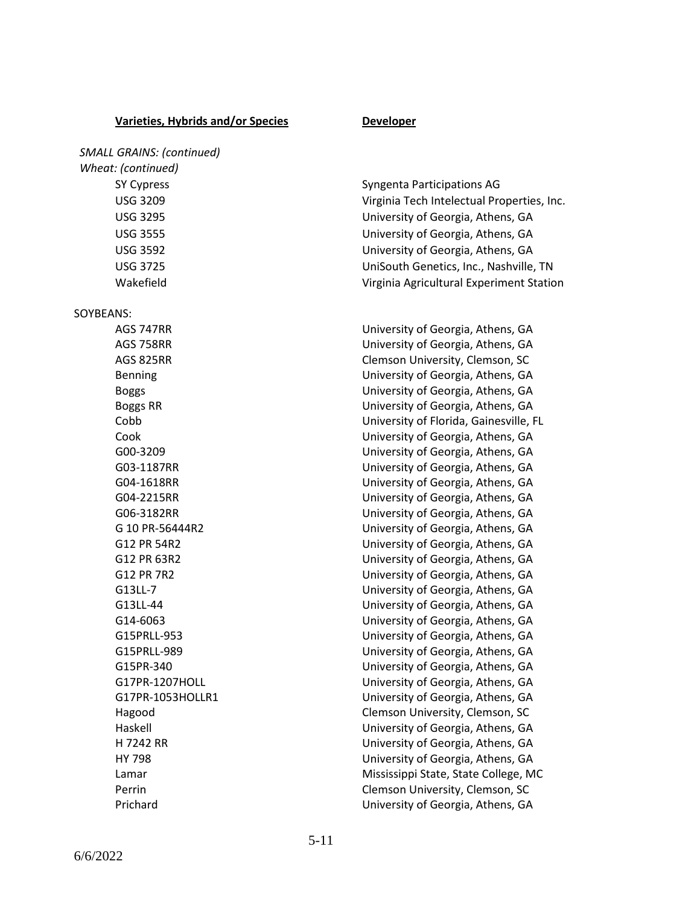*Wheat: (continued)*

SOYBEANS:

SY Cypress Syngenta Participations AG USG 3209 Virginia Tech Intelectual Properties, Inc. USG 3295 University of Georgia, Athens, GA USG 3555 University of Georgia, Athens, GA USG 3592 University of Georgia, Athens, GA USG 3725 UniSouth Genetics, Inc., Nashville, TN Wakefield Virginia Agricultural Experiment Station

AGS 747RR University of Georgia, Athens, GA AGS 758RR University of Georgia, Athens, GA AGS 825RR Clemson University, Clemson, SC Benning University of Georgia, Athens, GA Boggs University of Georgia, Athens, GA Boggs RR University of Georgia, Athens, GA Cobb University of Florida, Gainesville, FL Cook University of Georgia, Athens, GA G00-3209 University of Georgia, Athens, GA G03-1187RR University of Georgia, Athens, GA G04-1618RR University of Georgia, Athens, GA G04-2215RR University of Georgia, Athens, GA G06-3182RR University of Georgia, Athens, GA G 10 PR-56444R2 University of Georgia, Athens, GA G12 PR 54R2 University of Georgia, Athens, GA G12 PR 63R2 University of Georgia, Athens, GA G12 PR 7R2 University of Georgia, Athens, GA G13LL-7 University of Georgia, Athens, GA G13LL-44 University of Georgia, Athens, GA G14-6063 University of Georgia, Athens, GA G15PRLL-953 University of Georgia, Athens, GA G15PRLL-989 University of Georgia, Athens, GA G15PR-340 University of Georgia, Athens, GA G17PR-1207HOLL **CONTACT CONTROLL CONTROLL CONTROLL** University of Georgia, Athens, GA G17PR-1053HOLLR1 University of Georgia, Athens, GA Hagood Clemson University, Clemson, SC Haskell University of Georgia, Athens, GA H 7242 RR University of Georgia, Athens, GA HY 798 University of Georgia, Athens, GA Lamar **Mississippi State, State College, MC** Perrin Clemson University, Clemson, SC Prichard University of Georgia, Athens, GA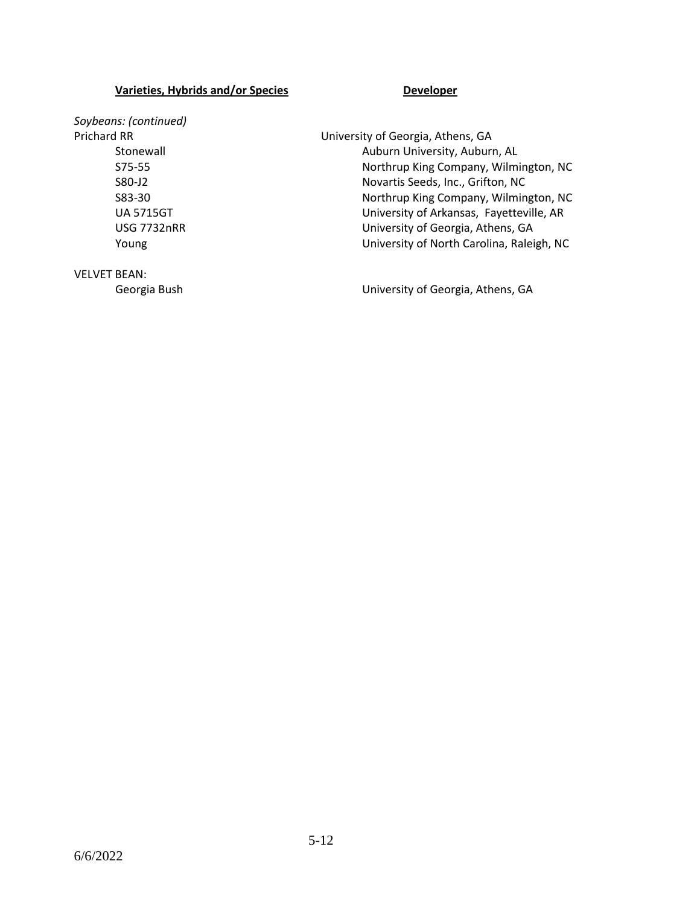*Soybeans: (continued)*

Prichard RR **Network Communist Communist Communist** University of Georgia, Athens, GA Stonewall **Auburn University, Auburn, AL** S75-55 Northrup King Company, Wilmington, NC S80-J2 Novartis Seeds, Inc., Grifton, NC S83-30 Northrup King Company, Wilmington, NC UA 5715GT University of Arkansas, Fayetteville, AR USG 7732nRR University of Georgia, Athens, GA Young University of North Carolina, Raleigh, NC

VELVET BEAN:

Georgia Bush Georgia Bush Contract Contract Contract University of Georgia, Athens, GA